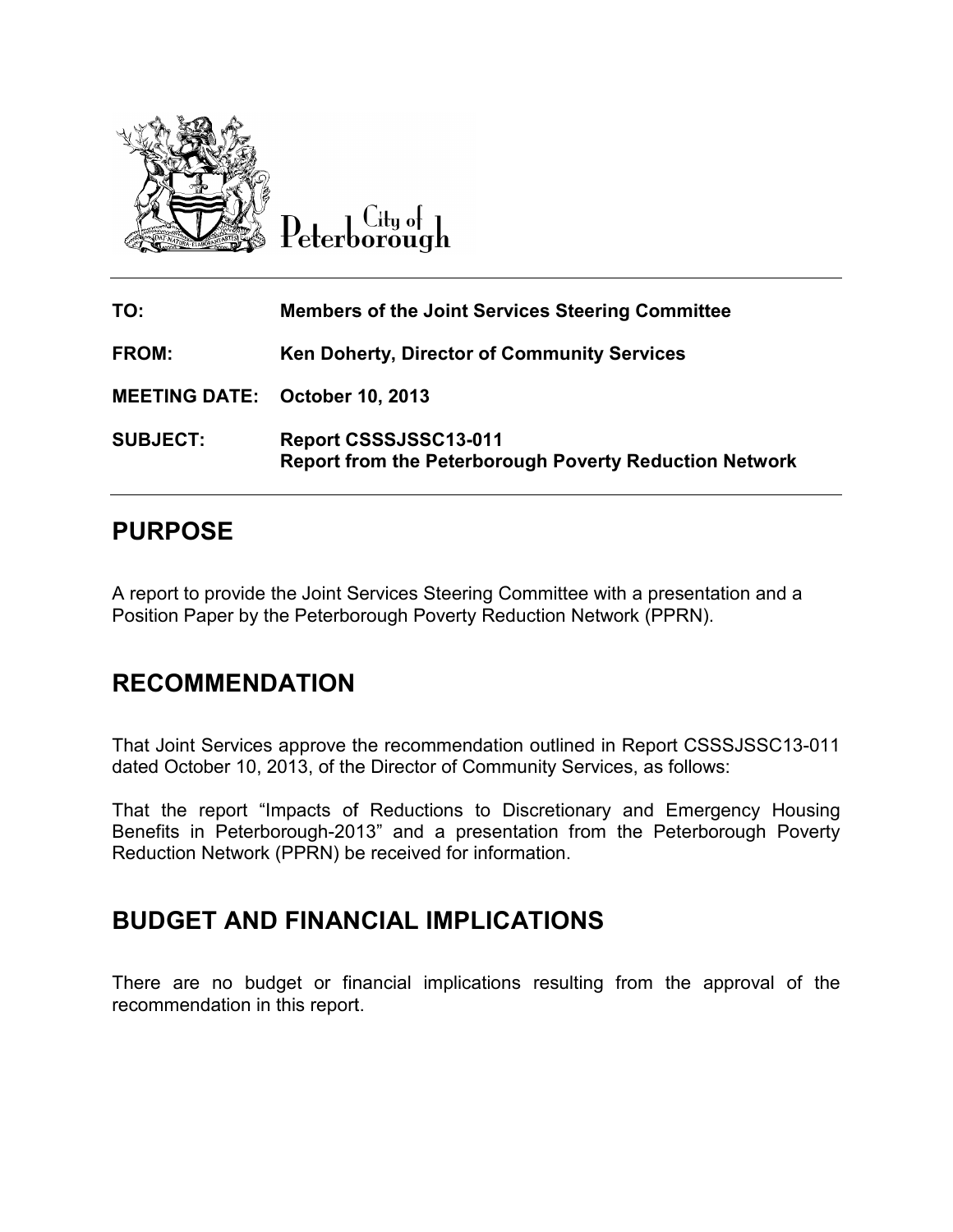

 $C$ ity of Peterborough

| TO:                                   | <b>Members of the Joint Services Steering Committee</b>                                |
|---------------------------------------|----------------------------------------------------------------------------------------|
| <b>FROM:</b>                          | Ken Doherty, Director of Community Services                                            |
| <b>MEETING DATE: October 10, 2013</b> |                                                                                        |
| <b>SUBJECT:</b>                       | Report CSSSJSSC13-011<br><b>Report from the Peterborough Poverty Reduction Network</b> |

## **PURPOSE**

A report to provide the Joint Services Steering Committee with a presentation and a Position Paper by the Peterborough Poverty Reduction Network (PPRN). A report to provide the Joint Services Steering Committee with a presentation and a<br>Position Paper by the Peterborough Poverty Reduction Network (PPRN).<br>**RECOMMENDATION**<br>That Joint Services approve the recommendation outli

## **RECOMMENDATION**

dated October 10, 2013, of the Director of Community Services, as follows:

That the report "Impacts of Reductions to Discretionary and Emergency Housing That the report "Impacts of Reductions to Discretionary and Emergency Housing<br>Benefits in Peterborough-2013" and a presentation from the Peterborough Poverty Reduction Network (PPRN) be received for information.

## **BUDGET AND FINANCIAL IMPLICATIONS**

There are no budget or financial implications resulting from the approval of the<br>recommendation in this report. recommendation in this report